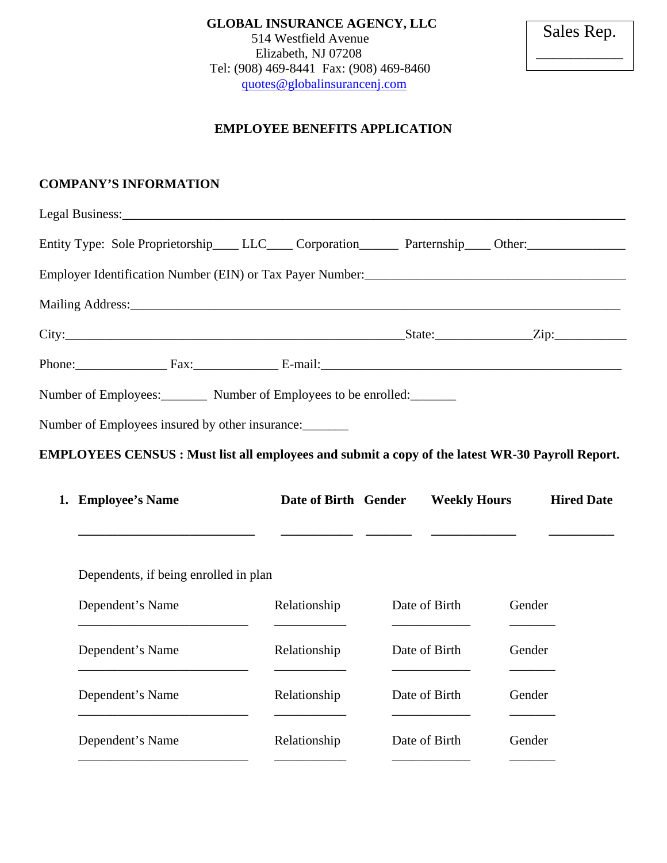**GLOBAL INSURANCE AGENCY, LLC**  514 Westfield Avenue Elizabeth, NJ 07208 Tel: (908) 469-8441 Fax: (908) 469-8460 quotes@globalinsurancenj.com

Sales Rep. \_\_\_\_\_\_\_\_\_\_

## **EMPLOYEE BENEFITS APPLICATION**

## **COMPANY'S INFORMATION**

| Entity Type: Sole Proprietorship____ LLC____ Corporation_______ Parternship____ Other:______________                                                                                                                             |  |                                             |  |  |  |  |
|----------------------------------------------------------------------------------------------------------------------------------------------------------------------------------------------------------------------------------|--|---------------------------------------------|--|--|--|--|
| Employer Identification Number (EIN) or Tax Payer Number:<br>1988 - Alexander Ann American American State III (1998) - Alexander Ann American American American American State II (1998) - Alexander Ann American American State |  |                                             |  |  |  |  |
|                                                                                                                                                                                                                                  |  |                                             |  |  |  |  |
|                                                                                                                                                                                                                                  |  | $\text{State:}$ $\qquad \qquad \text{Zip:}$ |  |  |  |  |
| Phone: Fax: Fax: E-mail: E-mail:                                                                                                                                                                                                 |  |                                             |  |  |  |  |
| Number of Employees: Number of Employees to be enrolled:                                                                                                                                                                         |  |                                             |  |  |  |  |

Number of Employees insured by other insurance:

**EMPLOYEES CENSUS : Must list all employees and submit a copy of the latest WR-30 Payroll Report.** 

| 1. Employee's Name                    | Date of Birth Gender | <b>Weekly Hours</b> |        | <b>Hired Date</b> |  |
|---------------------------------------|----------------------|---------------------|--------|-------------------|--|
|                                       |                      |                     |        |                   |  |
| Dependents, if being enrolled in plan |                      |                     |        |                   |  |
| Dependent's Name                      | Relationship         | Date of Birth       | Gender |                   |  |
| Dependent's Name                      | Relationship         | Date of Birth       | Gender |                   |  |
| Dependent's Name                      | Relationship         | Date of Birth       | Gender |                   |  |
| Dependent's Name                      | Relationship         | Date of Birth       | Gender |                   |  |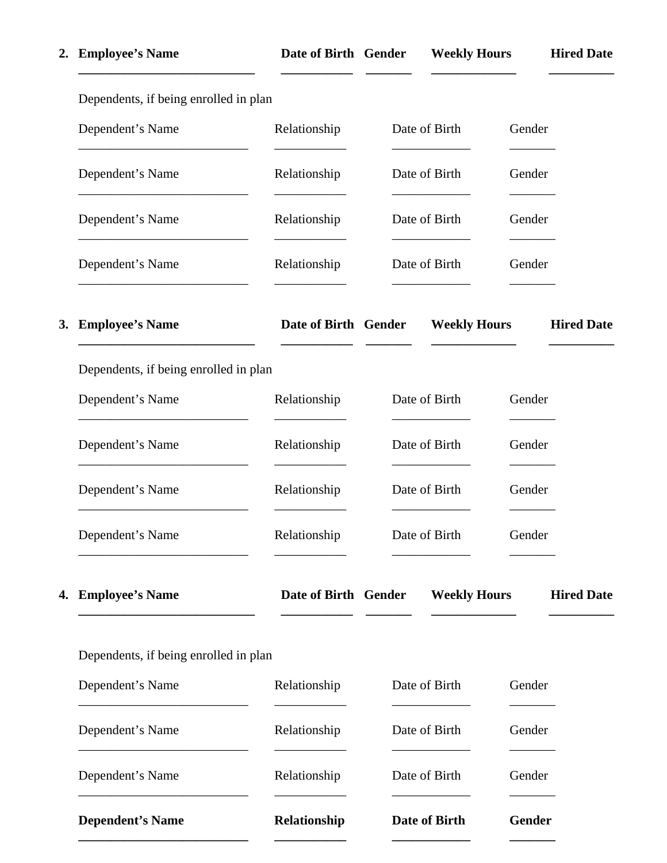|    | 2. Employee's Name                                                                                                                             | Date of Birth Gender                         |                                |               | <b>Weekly Hours</b>                                    |                     |        | <b>Hired Date</b> |
|----|------------------------------------------------------------------------------------------------------------------------------------------------|----------------------------------------------|--------------------------------|---------------|--------------------------------------------------------|---------------------|--------|-------------------|
|    | Dependents, if being enrolled in plan                                                                                                          |                                              |                                |               |                                                        |                     |        |                   |
|    | Dependent's Name                                                                                                                               | Relationship                                 |                                | Date of Birth |                                                        | Gender              |        |                   |
|    | Dependent's Name                                                                                                                               | Relationship                                 |                                | Date of Birth |                                                        | Gender              |        |                   |
|    | Dependent's Name                                                                                                                               | Relationship                                 |                                | Date of Birth |                                                        | Gender              |        |                   |
|    | Dependent's Name                                                                                                                               | Relationship                                 |                                | Date of Birth |                                                        | Gender              |        |                   |
| 3. | <b>Employee's Name</b><br><u> 1999 - Johann John Stone, mars eta bainar eta baina eta baina eta baina eta baina eta baina eta baina eta ba</u> | Date of Birth Gender Weekly Hours Hired Date |                                |               | <u> De Santa Companhia de la companhia de la compa</u> |                     |        |                   |
|    | Dependents, if being enrolled in plan                                                                                                          |                                              |                                |               |                                                        |                     |        |                   |
|    | Dependent's Name                                                                                                                               | Relationship                                 |                                |               | Date of Birth                                          |                     | Gender |                   |
|    | Dependent's Name                                                                                                                               | Relationship                                 | Date of Birth<br>Date of Birth |               |                                                        | Gender              |        |                   |
|    | Dependent's Name                                                                                                                               | Relationship                                 |                                |               | Gender                                                 |                     |        |                   |
|    | Dependent's Name                                                                                                                               | Relationship                                 | Date of Birth                  |               | Gender                                                 |                     |        |                   |
| 4. | <b>Employee's Name</b>                                                                                                                         | Date of Birth Gender                         |                                |               |                                                        | <b>Weekly Hours</b> |        | <b>Hired Date</b> |
|    | Dependents, if being enrolled in plan                                                                                                          |                                              |                                |               |                                                        |                     |        |                   |
|    | Dependent's Name                                                                                                                               | Relationship                                 |                                |               | Date of Birth                                          |                     | Gender |                   |
|    | Dependent's Name                                                                                                                               | Relationship                                 | Date of Birth                  |               | Date of Birth                                          |                     | Gender |                   |
|    | Dependent's Name                                                                                                                               | Relationship                                 |                                |               |                                                        | Gender              |        |                   |
|    | <b>Dependent's Name</b>                                                                                                                        | Relationship                                 |                                | Date of Birth |                                                        | Gender              |        |                   |